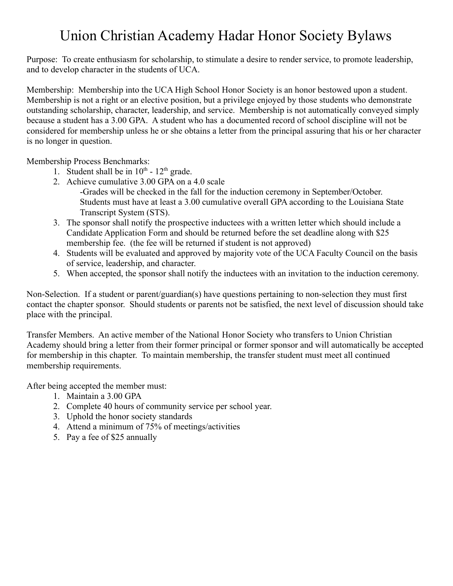### Union Christian Academy Hadar Honor Society Bylaws

Purpose: To create enthusiasm for scholarship, to stimulate a desire to render service, to promote leadership, and to develop character in the students of UCA.

Membership: Membership into the UCA High School Honor Society is an honor bestowed upon a student. Membership is not a right or an elective position, but a privilege enjoyed by those students who demonstrate outstanding scholarship, character, leadership, and service. Membership is not automatically conveyed simply because a student has a 3.00 GPA. A student who has a documented record of school discipline will not be considered for membership unless he or she obtains a letter from the principal assuring that his or her character is no longer in question.

Membership Process Benchmarks:

- 1. Student shall be in  $10^{th}$   $12^{th}$  grade.
- 2. Achieve cumulative 3.00 GPA on a 4.0 scale
	- -Grades will be checked in the fall for the induction ceremony in September/October. Students must have at least a 3.00 cumulative overall GPA according to the Louisiana State Transcript System (STS).
- 3. The sponsor shall notify the prospective inductees with a written letter which should include a Candidate Application Form and should be returned before the set deadline along with \$25 membership fee. (the fee will be returned if student is not approved)
- 4. Students will be evaluated and approved by majority vote of the UCA Faculty Council on the basis of service, leadership, and character.
- 5. When accepted, the sponsor shall notify the inductees with an invitation to the induction ceremony.

Non-Selection. If a student or parent/guardian(s) have questions pertaining to non-selection they must first contact the chapter sponsor. Should students or parents not be satisfied, the next level of discussion should take place with the principal.

Transfer Members. An active member of the National Honor Society who transfers to Union Christian Academy should bring a letter from their former principal or former sponsor and will automatically be accepted for membership in this chapter. To maintain membership, the transfer student must meet all continued membership requirements.

After being accepted the member must:

- 1. Maintain a 3.00 GPA
- 2. Complete 40 hours of community service per school year.
- 3. Uphold the honor society standards
- 4. Attend a minimum of 75% of meetings/activities
- 5. Pay a fee of \$25 annually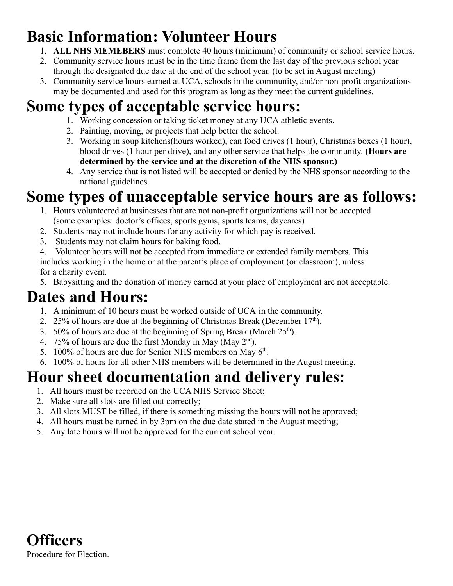# **Basic Information: Volunteer Hours**

- 1. **ALL NHS MEMEBERS** must complete 40 hours (minimum) of community or school service hours.
- 2. Community service hours must be in the time frame from the last day of the previous school year through the designated due date at the end of the school year. (to be set in August meeting)
- 3. Community service hours earned at UCA, schools in the community, and/or non-profit organizations may be documented and used for this program as long as they meet the current guidelines.

# **Some types of acceptable service hours:**

- 1. Working concession or taking ticket money at any UCA athletic events.
- 2. Painting, moving, or projects that help better the school.
- 3. Working in soup kitchens(hours worked), can food drives (1 hour), Christmas boxes (1 hour), blood drives (1 hour per drive), and any other service that helps the community. **(Hours are determined by the service and at the discretion of the NHS sponsor.)**
- 4. Any service that is not listed will be accepted or denied by the NHS sponsor according to the national guidelines.

# **Some types of unacceptable service hours are as follows:**

- 1. Hours volunteered at businesses that are not non-profit organizations will not be accepted (some examples: doctor's offices, sports gyms, sports teams, daycares)
- 2. Students may not include hours for any activity for which pay is received.
- 3. Students may not claim hours for baking food.
- 4. Volunteer hours will not be accepted from immediate or extended family members. This includes working in the home or at the parent's place of employment (or classroom), unless for a charity event.
- 5. Babysitting and the donation of money earned at your place of employment are not acceptable.

## **Dates and Hours:**

- 1. A minimum of 10 hours must be worked outside of UCA in the community.
- 2. 25% of hours are due at the beginning of Christmas Break (December  $17<sup>th</sup>$ ).
- 3. 50% of hours are due at the beginning of Spring Break (March  $25<sup>th</sup>$ ).
- 4. 75% of hours are due the first Monday in May (May  $2<sup>nd</sup>$ ).
- 5. 100% of hours are due for Senior NHS members on May  $6<sup>th</sup>$ .
- 6. 100% of hours for all other NHS members will be determined in the August meeting.

# **Hour sheet documentation and delivery rules:**

- 1. All hours must be recorded on the UCA NHS Service Sheet;
- 2. Make sure all slots are filled out correctly;
- 3. All slots MUST be filled, if there is something missing the hours will not be approved;
- 4. All hours must be turned in by 3pm on the due date stated in the August meeting;
- 5. Any late hours will not be approved for the current school year.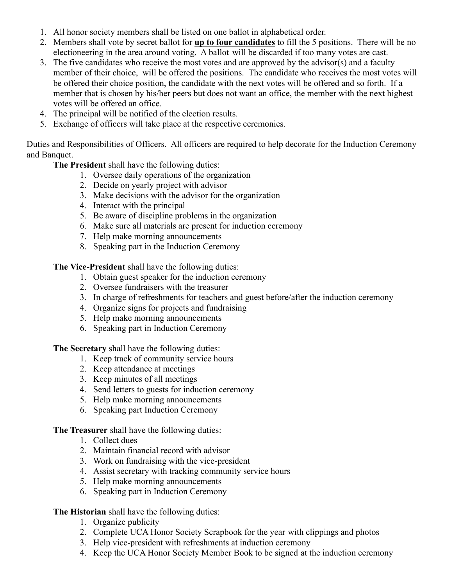- 1. All honor society members shall be listed on one ballot in alphabetical order.
- 2. Members shall vote by secret ballot for **up to four candidates** to fill the 5 positions. There will be no electioneering in the area around voting. A ballot will be discarded if too many votes are cast.
- 3. The five candidates who receive the most votes and are approved by the advisor(s) and a faculty member of their choice, will be offered the positions. The candidate who receives the most votes will be offered their choice position, the candidate with the next votes will be offered and so forth. If a member that is chosen by his/her peers but does not want an office, the member with the next highest votes will be offered an office.
- 4. The principal will be notified of the election results.
- 5. Exchange of officers will take place at the respective ceremonies.

Duties and Responsibilities of Officers. All officers are required to help decorate for the Induction Ceremony and Banquet.

**The President** shall have the following duties:

- 1. Oversee daily operations of the organization
- 2. Decide on yearly project with advisor
- 3. Make decisions with the advisor for the organization
- 4. Interact with the principal
- 5. Be aware of discipline problems in the organization
- 6. Make sure all materials are present for induction ceremony
- 7. Help make morning announcements
- 8. Speaking part in the Induction Ceremony

**The Vice-President** shall have the following duties:

- 1. Obtain guest speaker for the induction ceremony
- 2. Oversee fundraisers with the treasurer
- 3. In charge of refreshments for teachers and guest before/after the induction ceremony
- 4. Organize signs for projects and fundraising
- 5. Help make morning announcements
- 6. Speaking part in Induction Ceremony

**The Secretary** shall have the following duties:

- 1. Keep track of community service hours
- 2. Keep attendance at meetings
- 3. Keep minutes of all meetings
- 4. Send letters to guests for induction ceremony
- 5. Help make morning announcements
- 6. Speaking part Induction Ceremony

**The Treasurer** shall have the following duties:

- 1. Collect dues
- 2. Maintain financial record with advisor
- 3. Work on fundraising with the vice-president
- 4. Assist secretary with tracking community service hours
- 5. Help make morning announcements
- 6. Speaking part in Induction Ceremony

### **The Historian** shall have the following duties:

- 1. Organize publicity
- 2. Complete UCA Honor Society Scrapbook for the year with clippings and photos
- 3. Help vice-president with refreshments at induction ceremony
- 4. Keep the UCA Honor Society Member Book to be signed at the induction ceremony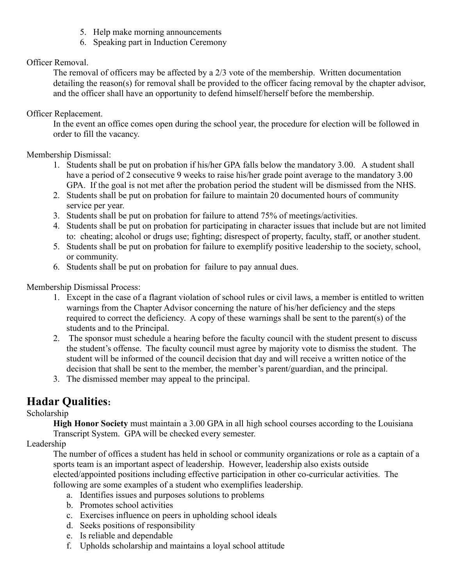- 5. Help make morning announcements
- 6. Speaking part in Induction Ceremony

### Officer Removal.

The removal of officers may be affected by a 2/3 vote of the membership. Written documentation detailing the reason(s) for removal shall be provided to the officer facing removal by the chapter advisor, and the officer shall have an opportunity to defend himself/herself before the membership.

#### Officer Replacement.

In the event an office comes open during the school year, the procedure for election will be followed in order to fill the vacancy.

### Membership Dismissal:

- 1. Students shall be put on probation if his/her GPA falls below the mandatory 3.00. A student shall have a period of 2 consecutive 9 weeks to raise his/her grade point average to the mandatory 3.00 GPA. If the goal is not met after the probation period the student will be dismissed from the NHS.
- 2. Students shall be put on probation for failure to maintain 20 documented hours of community service per year.
- 3. Students shall be put on probation for failure to attend 75% of meetings/activities.
- 4. Students shall be put on probation for participating in character issues that include but are not limited to: cheating; alcohol or drugs use; fighting; disrespect of property, faculty, staff, or another student.
- 5. Students shall be put on probation for failure to exemplify positive leadership to the society, school, or community.
- 6. Students shall be put on probation for failure to pay annual dues.

Membership Dismissal Process:

- 1. Except in the case of a flagrant violation of school rules or civil laws, a member is entitled to written warnings from the Chapter Advisor concerning the nature of his/her deficiency and the steps required to correct the deficiency. A copy of these warnings shall be sent to the parent(s) of the students and to the Principal.
- 2. The sponsor must schedule a hearing before the faculty council with the student present to discuss the student's offense. The faculty council must agree by majority vote to dismiss the student. The student will be informed of the council decision that day and will receive a written notice of the decision that shall be sent to the member, the member's parent/guardian, and the principal.
- 3. The dismissed member may appeal to the principal.

### **Hadar Qualities:**

### Scholarship

**High Honor Society** must maintain a 3.00 GPA in all high school courses according to the Louisiana Transcript System. GPA will be checked every semester.

### Leadership

The number of offices a student has held in school or community organizations or role as a captain of a sports team is an important aspect of leadership. However, leadership also exists outside elected/appointed positions including effective participation in other co-curricular activities. The following are some examples of a student who exemplifies leadership.

- a. Identifies issues and purposes solutions to problems
- b. Promotes school activities
- c. Exercises influence on peers in upholding school ideals
- d. Seeks positions of responsibility
- e. Is reliable and dependable
- f. Upholds scholarship and maintains a loyal school attitude